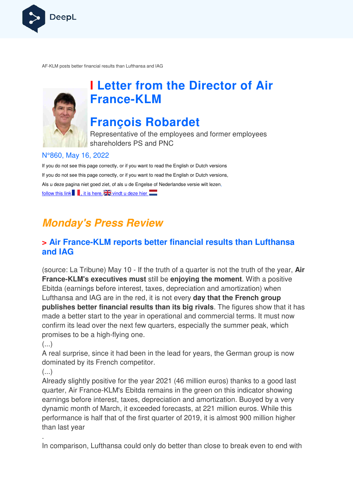

AF-KLM posts better financial results than Lufthansa and IAG KLM



# **I Letter from the Director of Air France France-KLM**

# **François Robardet**

Representative of the employees and former employees shareholders PS and PNC

## N°860, May 16, 2022

If you do not see this page correctly, or if you want to read the English or Dutch versions If you do not see this page correctly, or if you want to read the English or Dutch versions, Als u deze pagina niet goed ziet, of als u de Engelse of Nederlandse versie wilt lezen, follow this link  $\blacksquare$ , it is here,  $\mathbb{Z}$  vindt u deze hier

# **Monday's Press Review**

## **> Air France-KLM reports better financial results than Lufthansa and IAG**

(source: La Tribune) May 10 - If the truth of a quarter is not the truth of the year, Air **France-KLM's executives must** still be enjoying the moment. With a positive Ebitda (earnings before interest, taxes, depreciation and amortization) when Lufthansa and IAG are in the red, it is not every **day that the French group publishes better financial results than its big rivals** . The figures show that it has made a better start to the year in operational and commercial terms. It must now confirm its lead over the next few quarters, especially the summer peak, which promises to be a high-flying one.

 $\left(\ldots\right)$ 

A real surprise, since it had been in the lead for years, the German group is now dominated by its French competitor. confirm its lead over the next few quarters, especially the summer peak, which<br>promises to be a high-flying one.<br>(...)<br>A real surprise, since it had been in the lead for years, the German group is now<br>dominated by its Fren

 $\left(\ldots\right)$ 

quarter, Air France-KLM's Ebitda remains in the green on this indicator showing earnings before interest, taxes, depreciation and amortization. Buoyed by a very dynamic month of March, it exceeded forecasts, performance is half that of the first quarter of 2019, it is almost 900 million higher than last year KLM's Ebitda remains in the green on this indicator showing<br>rrest, taxes, depreciation and amortization. Buoyed by a very<br>⁄larch, it exceeded forecasts, at 221 million euros. While this

. In comparison, Lufthansa could only do better than close to break even to end with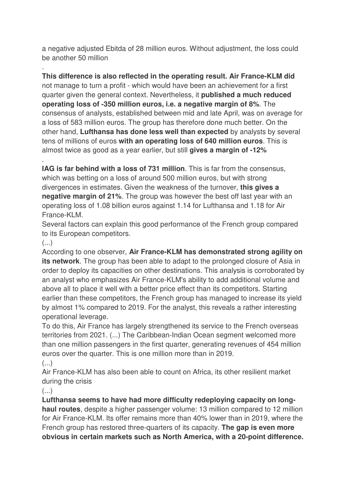a negative adjusted Ebitda of 28 million euros. Without adjustment, the loss could be another 50 million

**This difference is also reflected in the operating result. Air France-KLM did**  not manage to turn a profit - which would have been an achievement for a first quarter given the general context. Nevertheless, it **published a much reduced operating loss of -350 million euros, i.e. a negative margin of 8%**. The consensus of analysts, established between mid and late April, was on average for a loss of 583 million euros. The group has therefore done much better. On the other hand, **Lufthansa has done less well than expected** by analysts by several tens of millions of euros **with an operating loss of 640 million euros**. This is almost twice as good as a year earlier, but still **gives a margin of -12%**

**IAG is far behind with a loss of 731 million**. This is far from the consensus, which was betting on a loss of around 500 million euros, but with strong divergences in estimates. Given the weakness of the turnover, **this gives a negative margin of 21%**. The group was however the best off last year with an operating loss of 1.08 billion euros against 1.14 for Lufthansa and 1.18 for Air France-KLM.

Several factors can explain this good performance of the French group compared to its European competitors.

#### (...)

.

.

According to one observer, **Air France-KLM has demonstrated strong agility on its network**. The group has been able to adapt to the prolonged closure of Asia in order to deploy its capacities on other destinations. This analysis is corroborated by an analyst who emphasizes Air France-KLM's ability to add additional volume and above all to place it well with a better price effect than its competitors. Starting earlier than these competitors, the French group has managed to increase its yield by almost 1% compared to 2019. For the analyst, this reveals a rather interesting operational leverage.

To do this, Air France has largely strengthened its service to the French overseas territories from 2021. (...) The Caribbean-Indian Ocean segment welcomed more than one million passengers in the first quarter, generating revenues of 454 million euros over the quarter. This is one million more than in 2019.

(...)

Air France-KLM has also been able to count on Africa, its other resilient market during the crisis

(...)

**Lufthansa seems to have had more difficulty redeploying capacity on longhaul routes**, despite a higher passenger volume: 13 million compared to 12 million for Air France-KLM. Its offer remains more than 40% lower than in 2019, where the French group has restored three-quarters of its capacity. **The gap is even more obvious in certain markets such as North America, with a 20-point difference.**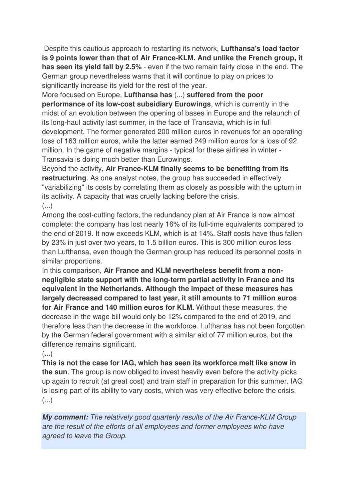Despite this cautious approach to restarting its network, **Lufthansa's load factor is 9 points lower than that of Air France-KLM. And unlike the French group, it has seen its yield fall by 2.5%** - even if the two remain fairly close in the end. The German group nevertheless warns that it will continue to play on prices to significantly increase its yield for the rest of the year.

More focused on Europe, **Lufthansa has** (...) **suffered from the poor performance of its low-cost subsidiary Eurowings**, which is currently in the midst of an evolution between the opening of bases in Europe and the relaunch of its long-haul activity last summer, in the face of Transavia, which is in full development. The former generated 200 million euros in revenues for an operating loss of 163 million euros, while the latter earned 249 million euros for a loss of 92 million. In the game of negative margins - typical for these airlines in winter - Transavia is doing much better than Eurowings.

Beyond the activity, **Air France-KLM finally seems to be benefiting from its restructuring**. As one analyst notes, the group has succeeded in effectively "variabilizing" its costs by correlating them as closely as possible with the upturn in its activity. A capacity that was cruelly lacking before the crisis. (...)

Among the cost-cutting factors, the redundancy plan at Air France is now almost complete: the company has lost nearly 16% of its full-time equivalents compared to the end of 2019. It now exceeds KLM, which is at 14%. Staff costs have thus fallen by 23% in just over two years, to 1.5 billion euros. This is 300 million euros less than Lufthansa, even though the German group has reduced its personnel costs in similar proportions.

In this comparison, **Air France and KLM nevertheless benefit from a nonnegligible state support with the long-term partial activity in France and its equivalent in the Netherlands. Although the impact of these measures has largely decreased compared to last year, it still amounts to 71 million euros for Air France and 140 million euros for KLM.** Without these measures, the decrease in the wage bill would only be 12% compared to the end of 2019, and therefore less than the decrease in the workforce. Lufthansa has not been forgotten by the German federal government with a similar aid of 77 million euros, but the difference remains significant.

 $\left( \ldots \right)$ 

**This is not the case for IAG, which has seen its workforce melt like snow in the sun**. The group is now obliged to invest heavily even before the activity picks up again to recruit (at great cost) and train staff in preparation for this summer. IAG is losing part of its ability to vary costs, which was very effective before the crisis. (...)

**My comment:** *The relatively good quarterly results of the Air France-KLM Group are the result of the efforts of all employees and former employees who have agreed to leave the Group.*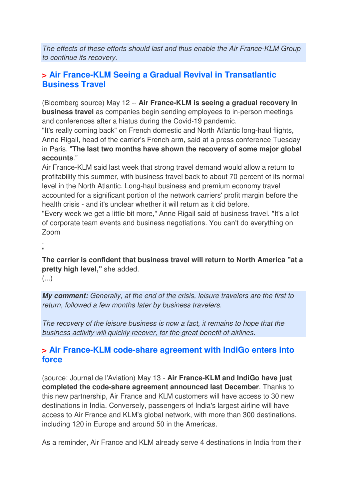*The effects of these efforts should last and thus enable the Air France-KLM Group to continue its recovery.*

## **> Air France-KLM Seeing a Gradual Revival in Transatlantic Business Travel**

(Bloomberg source) May 12 -- **Air France-KLM is seeing a gradual recovery in business travel** as companies begin sending employees to in-person meetings and conferences after a hiatus during the Covid-19 pandemic.

"It's really coming back" on French domestic and North Atlantic long-haul flights, Anne Rigail, head of the carrier's French arm, said at a press conference Tuesday in Paris. "**The last two months have shown the recovery of some major global accounts**."

Air France-KLM said last week that strong travel demand would allow a return to profitability this summer, with business travel back to about 70 percent of its normal level in the North Atlantic. Long-haul business and premium economy travel accounted for a significant portion of the network carriers' profit margin before the health crisis - and it's unclear whether it will return as it did before.

"Every week we get a little bit more," Anne Rigail said of business travel. "It's a lot of corporate team events and business negotiations. You can't do everything on Zoom

. "

**The carrier is confident that business travel will return to North America "at a pretty high level,"** she added.

(...)

**My comment:** *Generally, at the end of the crisis, leisure travelers are the first to return, followed a few months later by business travelers.* 

*The recovery of the leisure business is now a fact, it remains to hope that the business activity will quickly recover, for the great benefit of airlines.*

### **> Air France-KLM code-share agreement with IndiGo enters into force**

(source: Journal de l'Aviation) May 13 - **Air France-KLM and IndiGo have just completed the code-share agreement announced last December**. Thanks to this new partnership, Air France and KLM customers will have access to 30 new destinations in India. Conversely, passengers of India's largest airline will have access to Air France and KLM's global network, with more than 300 destinations, including 120 in Europe and around 50 in the Americas.

As a reminder, Air France and KLM already serve 4 destinations in India from their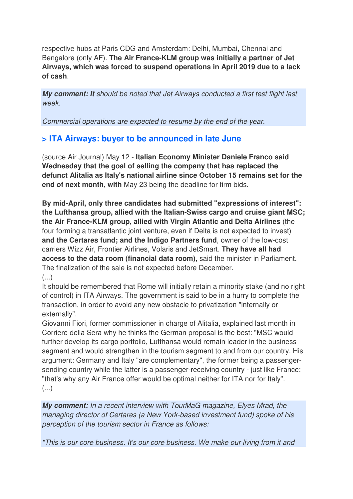respective hubs at Paris CDG and Amsterdam: Delhi, Mumbai, Chennai and Bengalore (only AF). **The Air France-KLM group was initially a partner of Jet Airways, which was forced to suspend operations in April 2019 due to a lack of cash**.

**My comment: It** *should be noted that Jet Airways conducted a first test flight last week.* 

*Commercial operations are expected to resume by the end of the year.* 

## **> ITA Airways: buyer to be announced in late June**

(source Air Journal) May 12 - **Italian Economy Minister Daniele Franco said Wednesday that the goal of selling the company that has replaced the defunct Alitalia as Italy's national airline since October 15 remains set for the end of next month, with** May 23 being the deadline for firm bids.

**By mid-April, only three candidates had submitted "expressions of interest": the Lufthansa group, allied with the Italian-Swiss cargo and cruise giant MSC; the Air France-KLM group, allied with Virgin Atlantic and Delta Airlines** (the four forming a transatlantic joint venture, even if Delta is not expected to invest) **and the Certares fund; and the Indigo Partners fund**, owner of the low-cost carriers Wizz Air, Frontier Airlines, Volaris and JetSmart. **They have all had access to the data room (financial data room)**, said the minister in Parliament. The finalization of the sale is not expected before December.

 $\left( \ldots \right)$ 

It should be remembered that Rome will initially retain a minority stake (and no right of control) in ITA Airways. The government is said to be in a hurry to complete the transaction, in order to avoid any new obstacle to privatization "internally or externally".

Giovanni Fiori, former commissioner in charge of Alitalia, explained last month in Corriere della Sera why he thinks the German proposal is the best: "MSC would further develop its cargo portfolio, Lufthansa would remain leader in the business segment and would strengthen in the tourism segment to and from our country. His argument: Germany and Italy "are complementary", the former being a passengersending country while the latter is a passenger-receiving country - just like France: "that's why any Air France offer would be optimal neither for ITA nor for Italy".  $\left(\ldots\right)$ 

**My comment:** *In a recent interview with TourMaG magazine, Elyes Mrad, the managing director of Certares (a New York-based investment fund) spoke of his perception of the tourism sector in France as follows:* 

*"This is our core business. It's our core business. We make our living from it and*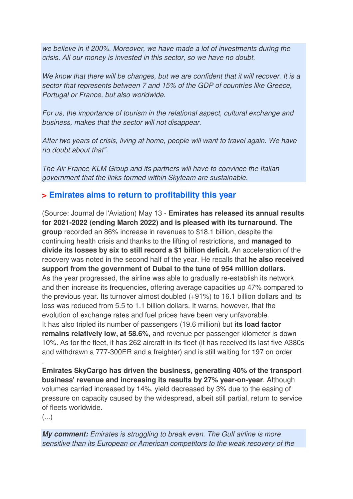*we believe in it 200%. Moreover, we have made a lot of investments during the crisis. All our money is invested in this sector, so we have no doubt.* 

*We know that there will be changes, but we are confident that it will recover. It is a sector that represents between 7 and 15% of the GDP of countries like Greece, Portugal or France, but also worldwide.* 

*For us, the importance of tourism in the relational aspect, cultural exchange and business, makes that the sector will not disappear.* 

*After two years of crisis, living at home, people will want to travel again. We have no doubt about that".* 

*The Air France-KLM Group and its partners will have to convince the Italian government that the links formed within Skyteam are sustainable.*

## **> Emirates aims to return to profitability this year**

(Source: Journal de l'Aviation) May 13 - **Emirates has released its annual results for 2021-2022 (ending March 2022) and is pleased with its turnaround**. **The group** recorded an 86% increase in revenues to \$18.1 billion, despite the continuing health crisis and thanks to the lifting of restrictions, and **managed to divide its losses by six to still record a \$1 billion deficit.** An acceleration of the recovery was noted in the second half of the year. He recalls that **he also received support from the government of Dubai to the tune of 954 million dollars.**  As the year progressed, the airline was able to gradually re-establish its network and then increase its frequencies, offering average capacities up 47% compared to the previous year. Its turnover almost doubled (+91%) to 16.1 billion dollars and its loss was reduced from 5.5 to 1.1 billion dollars. It warns, however, that the evolution of exchange rates and fuel prices have been very unfavorable. It has also tripled its number of passengers (19.6 million) but **its load factor remains relatively low, at 58.6%,** and revenue per passenger kilometer is down 10%. As for the fleet, it has 262 aircraft in its fleet (it has received its last five A380s and withdrawn a 777-300ER and a freighter) and is still waiting for 197 on order

**Emirates SkyCargo has driven the business, generating 40% of the transport business' revenue and increasing its results by 27% year-on-year**. Although volumes carried increased by 14%, yield decreased by 3% due to the easing of pressure on capacity caused by the widespread, albeit still partial, return to service of fleets worldwide.

 $\left( \ldots \right)$ 

.

**My comment:** *Emirates is struggling to break even. The Gulf airline is more sensitive than its European or American competitors to the weak recovery of the*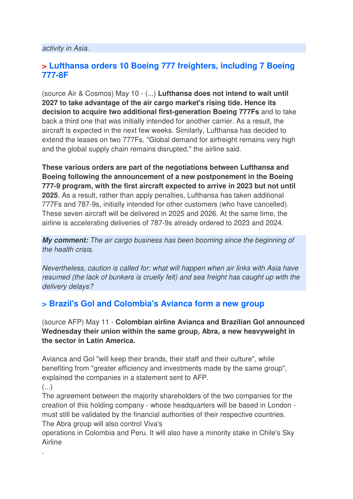### **> Lufthansa orders 10 Boeing 777 freighters, including 7 Boeing 777-8F**

(source Air & Cosmos) May 10 - (...) **Lufthansa does not intend to wait until 2027 to take advantage of the air cargo market's rising tide. Hence its decision to acquire two additional first-generation Boeing 777Fs** and to take back a third one that was initially intended for another carrier. As a result, the aircraft is expected in the next few weeks. Similarly, Lufthansa has decided to extend the leases on two 777Fs. "Global demand for airfreight remains very high and the global supply chain remains disrupted," the airline said.

**These various orders are part of the negotiations between Lufthansa and Boeing following the announcement of a new postponement in the Boeing 777-9 program, with the first aircraft expected to arrive in 2023 but not until 2025**. As a result, rather than apply penalties, Lufthansa has taken additional 777Fs and 787-9s, initially intended for other customers (who have cancelled). These seven aircraft will be delivered in 2025 and 2026. At the same time, the airline is accelerating deliveries of 787-9s already ordered to 2023 and 2024.

**My comment:** *The air cargo business has been booming since the beginning of the health crisis.* 

*Nevertheless, caution is called for: what will happen when air links with Asia have resumed (the lack of bunkers is cruelly felt) and sea freight has caught up with the delivery delays?*

## **> Brazil's Gol and Colombia's Avianca form a new group**

(source AFP) May 11 - **Colombian airline Avianca and Brazilian Gol announced Wednesday their union within the same group, Abra, a new heavyweight in the sector in Latin America.** 

Avianca and Gol "will keep their brands, their staff and their culture", while benefiting from "greater efficiency and investments made by the same group", explained the companies in a statement sent to AFP.

 $\left( \ldots \right)$ 

.

The agreement between the majority shareholders of the two companies for the creation of this holding company - whose headquarters will be based in London must still be validated by the financial authorities of their respective countries. The Abra group will also control Viva's

operations in Colombia and Peru. It will also have a minority stake in Chile's Sky Airline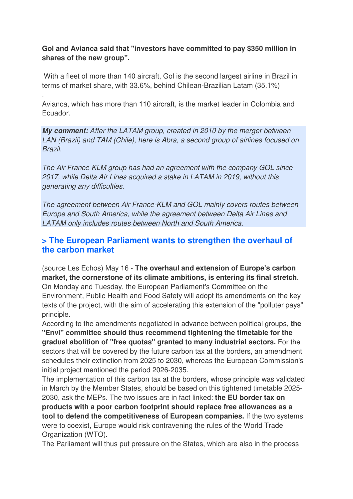#### **Gol and Avianca said that "investors have committed to pay \$350 million in shares of the new group".**

 With a fleet of more than 140 aircraft, Gol is the second largest airline in Brazil in terms of market share, with 33.6%, behind Chilean-Brazilian Latam (35.1%)

Avianca, which has more than 110 aircraft, is the market leader in Colombia and Ecuador.

.

**My comment:** *After the LATAM group, created in 2010 by the merger between LAN (Brazil) and TAM (Chile), here is Abra, a second group of airlines focused on Brazil.* 

*The Air France-KLM group has had an agreement with the company GOL since 2017, while Delta Air Lines acquired a stake in LATAM in 2019, without this generating any difficulties.* 

*The agreement between Air France-KLM and GOL mainly covers routes between Europe and South America, while the agreement between Delta Air Lines and LATAM only includes routes between North and South America.*

### **> The European Parliament wants to strengthen the overhaul of the carbon market**

(source Les Echos) May 16 - **The overhaul and extension of Europe's carbon market, the cornerstone of its climate ambitions, is entering its final stretch**. On Monday and Tuesday, the European Parliament's Committee on the Environment, Public Health and Food Safety will adopt its amendments on the key texts of the project, with the aim of accelerating this extension of the "polluter pays" principle.

According to the amendments negotiated in advance between political groups, **the "Envi" committee should thus recommend tightening the timetable for the gradual abolition of "free quotas" granted to many industrial sectors.** For the sectors that will be covered by the future carbon tax at the borders, an amendment schedules their extinction from 2025 to 2030, whereas the European Commission's initial project mentioned the period 2026-2035.

The implementation of this carbon tax at the borders, whose principle was validated in March by the Member States, should be based on this tightened timetable 2025- 2030, ask the MEPs. The two issues are in fact linked: **the EU border tax on products with a poor carbon footprint should replace free allowances as a tool to defend the competitiveness of European companies.** If the two systems were to coexist, Europe would risk contravening the rules of the World Trade Organization (WTO).

The Parliament will thus put pressure on the States, which are also in the process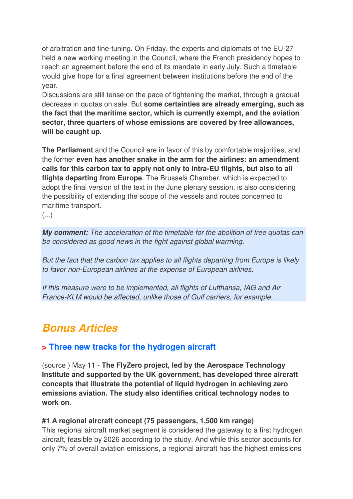of arbitration and fine-tuning. On Friday, the experts and diplomats of the EU-27 held a new working meeting in the Council, where the French presidency hopes to reach an agreement before the end of its mandate in early July. Such a timetable would give hope for a final agreement between institutions before the end of the year.

Discussions are still tense on the pace of tightening the market, through a gradual decrease in quotas on sale. But **some certainties are already emerging, such as the fact that the maritime sector, which is currently exempt, and the aviation sector, three quarters of whose emissions are covered by free allowances, will be caught up.** 

**The Parliament** and the Council are in favor of this by comfortable majorities, and the former **even has another snake in the arm for the airlines: an amendment calls for this carbon tax to apply not only to intra-EU flights, but also to all flights departing from Europe**. The Brussels Chamber, which is expected to adopt the final version of the text in the June plenary session, is also considering the possibility of extending the scope of the vessels and routes concerned to maritime transport.

(...)

**My comment:** *The acceleration of the timetable for the abolition of free quotas can be considered as good news in the fight against global warming.* 

*But the fact that the carbon tax applies to all flights departing from Europe is likely to favor non-European airlines at the expense of European airlines.* 

*If this measure were to be implemented, all flights of Lufthansa, IAG and Air France-KLM would be affected, unlike those of Gulf carriers, for example.*

## **Bonus Articles**

## **> Three new tracks for the hydrogen aircraft**

(source ) May 11 - **The FlyZero project, led by the Aerospace Technology Institute and supported by the UK government, has developed three aircraft concepts that illustrate the potential of liquid hydrogen in achieving zero emissions aviation. The study also identifies critical technology nodes to work on**.

#### **#1 A regional aircraft concept (75 passengers, 1,500 km range)**

This regional aircraft market segment is considered the gateway to a first hydrogen aircraft, feasible by 2026 according to the study. And while this sector accounts for only 7% of overall aviation emissions, a regional aircraft has the highest emissions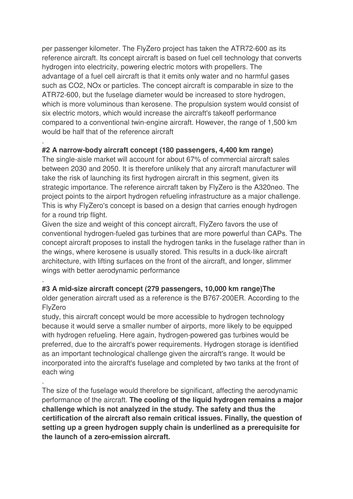per passenger kilometer. The FlyZero project has taken the ATR72-600 as its reference aircraft. Its concept aircraft is based on fuel cell technology that converts hydrogen into electricity, powering electric motors with propellers. The advantage of a fuel cell aircraft is that it emits only water and no harmful gases such as CO2, NOx or particles. The concept aircraft is comparable in size to the ATR72-600, but the fuselage diameter would be increased to store hydrogen, which is more voluminous than kerosene. The propulsion system would consist of six electric motors, which would increase the aircraft's takeoff performance compared to a conventional twin-engine aircraft. However, the range of 1,500 km would be half that of the reference aircraft

#### **#2 A narrow-body aircraft concept (180 passengers, 4,400 km range)**

.

.

.

The single-aisle market will account for about 67% of commercial aircraft sales between 2030 and 2050. It is therefore unlikely that any aircraft manufacturer will take the risk of launching its first hydrogen aircraft in this segment, given its strategic importance. The reference aircraft taken by FlyZero is the A320neo. The project points to the airport hydrogen refueling infrastructure as a major challenge. This is why FlyZero's concept is based on a design that carries enough hydrogen for a round trip flight.

Given the size and weight of this concept aircraft, FlyZero favors the use of conventional hydrogen-fueled gas turbines that are more powerful than CAPs. The concept aircraft proposes to install the hydrogen tanks in the fuselage rather than in the wings, where kerosene is usually stored. This results in a duck-like aircraft architecture, with lifting surfaces on the front of the aircraft, and longer, slimmer wings with better aerodynamic performance

#### **#3 A mid-size aircraft concept (279 passengers, 10,000 km range)The**

older generation aircraft used as a reference is the B767-200ER. According to the FlyZero

study, this aircraft concept would be more accessible to hydrogen technology because it would serve a smaller number of airports, more likely to be equipped with hydrogen refueling. Here again, hydrogen-powered gas turbines would be preferred, due to the aircraft's power requirements. Hydrogen storage is identified as an important technological challenge given the aircraft's range. It would be incorporated into the aircraft's fuselage and completed by two tanks at the front of each wing

The size of the fuselage would therefore be significant, affecting the aerodynamic performance of the aircraft. **The cooling of the liquid hydrogen remains a major challenge which is not analyzed in the study. The safety and thus the certification of the aircraft also remain critical issues. Finally, the question of setting up a green hydrogen supply chain is underlined as a prerequisite for the launch of a zero-emission aircraft.**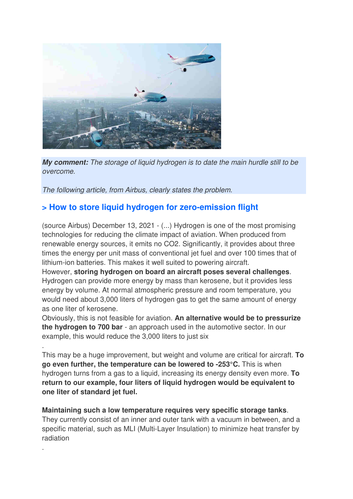

**My comment:** *The storage of liquid hydrogen is to date the main hurdle still to be overcome.* 

*The following article, from Airbus, clearly states the problem.*

.

.

## **> How to store liquid hydrogen for zero-emission flight**

(source Airbus) December 13, 2021 - (...) Hydrogen is one of the most promising technologies for reducing the climate impact of aviation. When produced from renewable energy sources, it emits no CO2. Significantly, it provides about three times the energy per unit mass of conventional jet fuel and over 100 times that of lithium-ion batteries. This makes it well suited to powering aircraft.

However, **storing hydrogen on board an aircraft poses several challenges**. Hydrogen can provide more energy by mass than kerosene, but it provides less energy by volume. At normal atmospheric pressure and room temperature, you would need about 3,000 liters of hydrogen gas to get the same amount of energy as one liter of kerosene.

Obviously, this is not feasible for aviation. **An alternative would be to pressurize the hydrogen to 700 bar** - an approach used in the automotive sector. In our example, this would reduce the 3,000 liters to just six

This may be a huge improvement, but weight and volume are critical for aircraft. **To go even further, the temperature can be lowered to -253°C.** This is when hydrogen turns from a gas to a liquid, increasing its energy density even more. **To return to our example, four liters of liquid hydrogen would be equivalent to one liter of standard jet fuel.** 

**Maintaining such a low temperature requires very specific storage tanks**. They currently consist of an inner and outer tank with a vacuum in between, and a specific material, such as MLI (Multi-Layer Insulation) to minimize heat transfer by radiation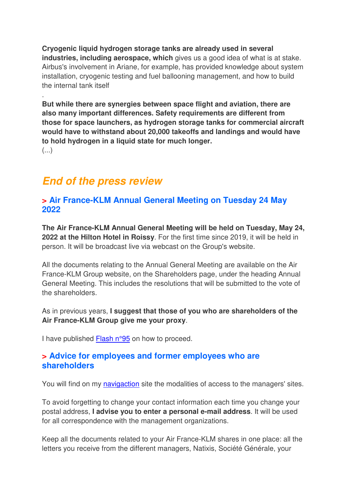**Cryogenic liquid hydrogen storage tanks are already used in several industries, including aerospace, which** gives us a good idea of what is at stake. Airbus's involvement in Ariane, for example, has provided knowledge about system installation, cryogenic testing and fuel ballooning management, and how to build the internal tank itself

**But while there are synergies between space flight and aviation, there are also many important differences. Safety requirements are different from those for space launchers, as hydrogen storage tanks for commercial aircraft would have to withstand about 20,000 takeoffs and landings and would have to hold hydrogen in a liquid state for much longer.** (...)

## **End of the press review**

.

### **> Air France-KLM Annual General Meeting on Tuesday 24 May 2022**

**The Air France-KLM Annual General Meeting will be held on Tuesday, May 24, 2022 at the Hilton Hotel in Roissy**. For the first time since 2019, it will be held in person. It will be broadcast live via webcast on the Group's website.

All the documents relating to the Annual General Meeting are available on the Air France-KLM Group website, on the Shareholders page, under the heading Annual General Meeting. This includes the resolutions that will be submitted to the vote of the shareholders.

As in previous years, **I suggest that those of you who are shareholders of the Air France-KLM Group give me your proxy**.

I have published Flash n°95 on how to proceed.

### **> Advice for employees and former employees who are shareholders**

You will find on my navigaction site the modalities of access to the managers' sites.

To avoid forgetting to change your contact information each time you change your postal address, **I advise you to enter a personal e-mail address**. It will be used for all correspondence with the management organizations.

Keep all the documents related to your Air France-KLM shares in one place: all the letters you receive from the different managers, Natixis, Société Générale, your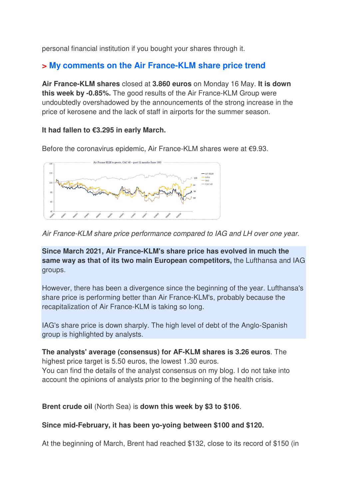personal financial institution if you bought your shares through it.

## **> My comments on the Air France-KLM share price trend**

**Air France-KLM shares** closed at **3.860 euros** on Monday 16 May. **It is down this week by -0.85%.** The good results of the Air France-KLM Group were undoubtedly overshadowed by the announcements of the strong increase in the price of kerosene and the lack of staff in airports for the summer season.

#### **It had fallen to €3.295 in early March.**

Before the coronavirus epidemic, Air France-KLM shares were at €9.93.



*Air France-KLM share price performance compared to IAG and LH over one year.* 

**Since March 2021, Air France-KLM's share price has evolved in much the same way as that of its two main European competitors,** the Lufthansa and IAG groups.

However, there has been a divergence since the beginning of the year. Lufthansa's share price is performing better than Air France-KLM's, probably because the recapitalization of Air France-KLM is taking so long.

IAG's share price is down sharply. The high level of debt of the Anglo-Spanish group is highlighted by analysts.

**The analysts' average (consensus) for AF-KLM shares is 3.26 euros**. The highest price target is 5.50 euros, the lowest 1.30 euros. You can find the details of the analyst consensus on my blog. I do not take into

account the opinions of analysts prior to the beginning of the health crisis.

**Brent crude oil** (North Sea) is **down this week by \$3 to \$106**.

#### **Since mid-February, it has been yo-yoing between \$100 and \$120.**

At the beginning of March, Brent had reached \$132, close to its record of \$150 (in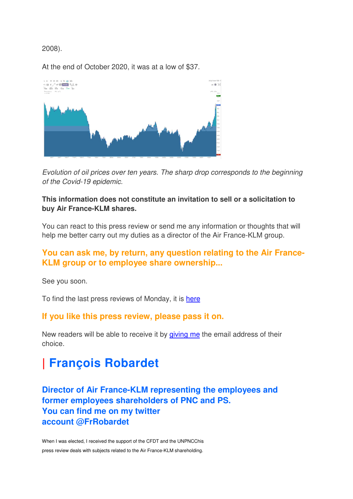#### 2008).

At the end of October 2020, it was at a low of \$37.



*Evolution of oil prices over ten years. The sharp drop corresponds to the beginning of the Covid-19 epidemic.*

#### **This information does not constitute an invitation to sell or a solicitation to buy Air France-KLM shares.**

You can react to this press review or send me any information or thoughts that will help me better carry out my duties as a director of the Air France-KLM group.

### **You can ask me, by return, any question relating to the Air France-KLM group or to employee share ownership...**

See you soon.

To find the last press reviews of Monday, it is here

#### **If you like this press review, please pass it on.**

New readers will be able to receive it by giving me the email address of their choice.

# **| François Robardet**

## **Director of Air France-KLM representing the employees and former employees shareholders of PNC and PS. You can find me on my twitter account @FrRobardet**

When I was elected, I received the support of the CFDT and the UNPNCChis press review deals with subjects related to the Air France-KLM shareholding.